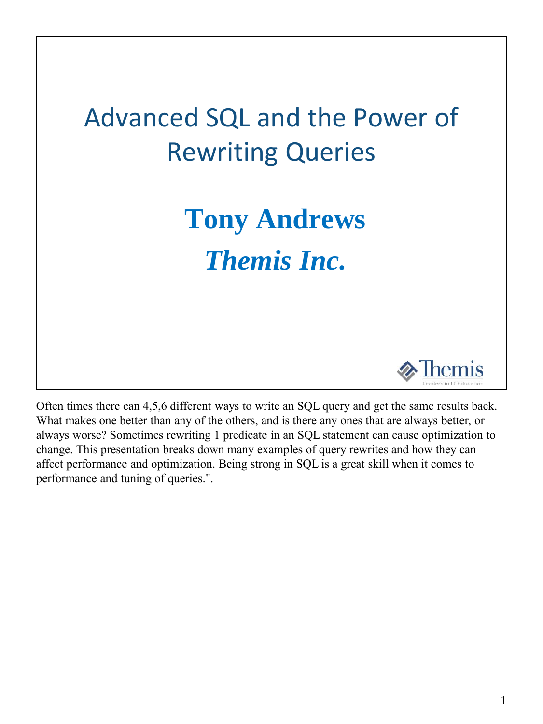## Advanced SQL and the Power of Rewriting Queries

# **Tony Andrews** *Themis Inc.*



Often times there can 4,5,6 different ways to write an SQL query and get the same results back. What makes one better than any of the others, and is there any ones that are always better, or always worse? Sometimes rewriting 1 predicate in an SQL statement can cause optimization to change. This presentation breaks down many examples of query rewrites and how they can affect performance and optimization. Being strong in SQL is a great skill when it comes to performance and tuning of queries.".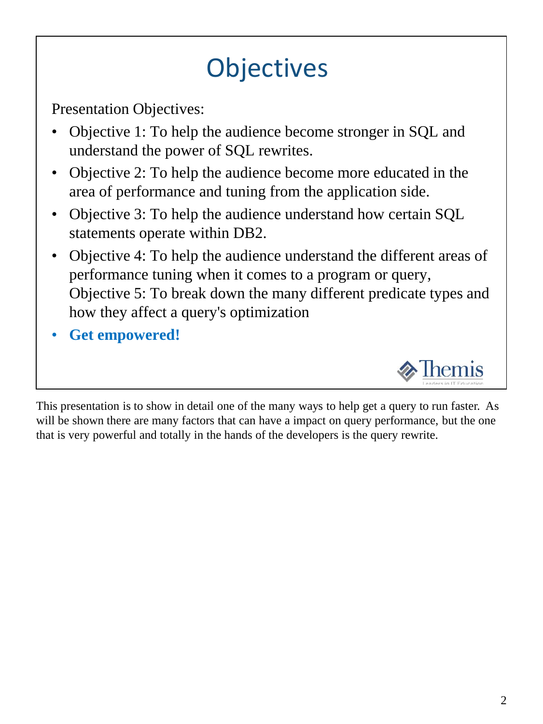## **Objectives**

Presentation Objectives:

- Objective 1: To help the audience become stronger in SQL and understand the power of SQL rewrites.
- Objective 2: To help the audience become more educated in the area of performance and tuning from the application side.
- Objective 3: To help the audience understand how certain SQL statements operate within DB2.
- Objective 4: To help the audience understand the different areas of performance tuning when it comes to a program or query, Objective 5: To break down the many different predicate types and how they affect a query's optimization
- **Get empowered!**



This presentation is to show in detail one of the many ways to help get a query to run faster. As will be shown there are many factors that can have a impact on query performance, but the one that is very powerful and totally in the hands of the developers is the query rewrite.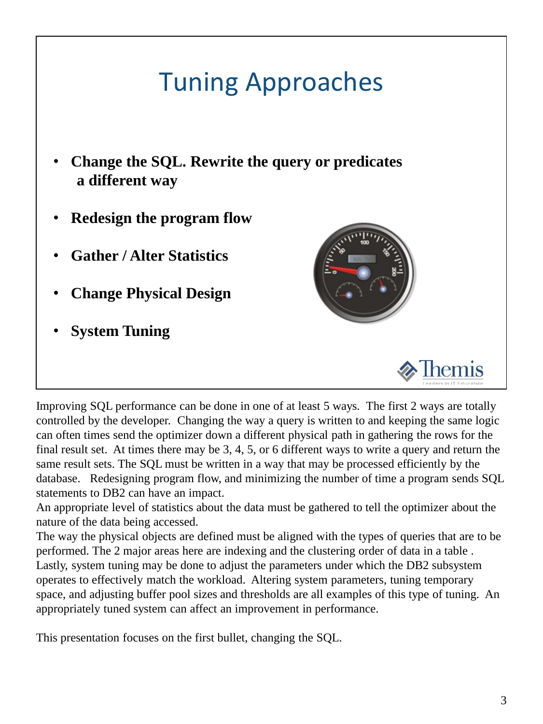### Tuning Approaches

- **Change the SQL. Rewrite the query or predicates a different way**
- **Redesign the program flow**
- **Gather / Alter Statistics**
- **Change Physical Design**
- **System Tuning**





Improving SQL performance can be done in one of at least 5 ways. The first 2 ways are totally controlled by the developer. Changing the way a query is written to and keeping the same logic can often times send the optimizer down a different physical path in gathering the rows for the final result set. At times there may be 3, 4, 5, or 6 different ways to write a query and return the same result sets. The SQL must be written in a way that may be processed efficiently by the database. Redesigning program flow, and minimizing the number of time a program sends SQL statements to DB2 can have an impact.

An appropriate level of statistics about the data must be gathered to tell the optimizer about the nature of the data being accessed.

The way the physical objects are defined must be aligned with the types of queries that are to be performed. The 2 major areas here are indexing and the clustering order of data in a table . Lastly, system tuning may be done to adjust the parameters under which the DB2 subsystem operates to effectively match the workload. Altering system parameters, tuning temporary space, and adjusting buffer pool sizes and thresholds are all examples of this type of tuning. An appropriately tuned system can affect an improvement in performance.

This presentation focuses on the first bullet, changing the SQL.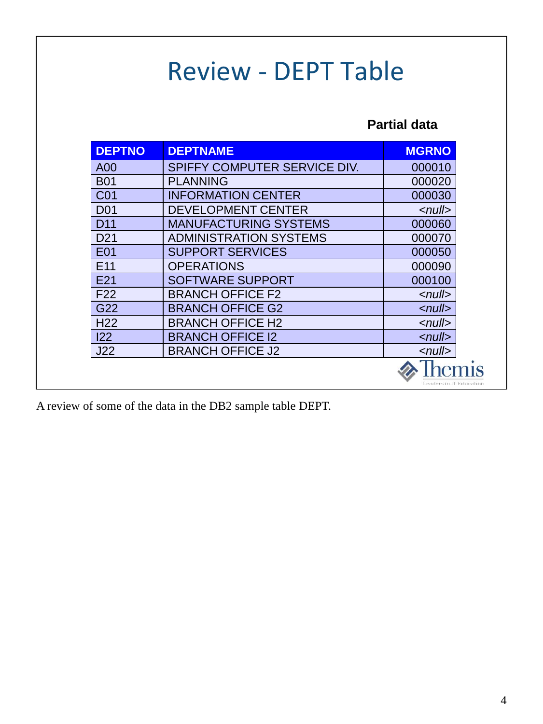#### Review - DEPT Table

#### **Partial data**

| <b>DEPTNO</b>   | <b>DEPTNAME</b>               | <b>MGRNO</b>            |
|-----------------|-------------------------------|-------------------------|
| A00             | SPIFFY COMPUTER SERVICE DIV.  | 000010                  |
| <b>B01</b>      | <b>PLANNING</b>               | 000020                  |
| C <sub>01</sub> | <b>INFORMATION CENTER</b>     | 000030                  |
| <b>D01</b>      | <b>DEVELOPMENT CENTER</b>     | $\sim$ null $>$         |
| D <sub>11</sub> | <b>MANUFACTURING SYSTEMS</b>  | 000060                  |
| D <sub>21</sub> | <b>ADMINISTRATION SYSTEMS</b> | 000070                  |
| <b>E01</b>      | <b>SUPPORT SERVICES</b>       | 000050                  |
| E <sub>11</sub> | <b>OPERATIONS</b>             | 000090                  |
| E21             | <b>SOFTWARE SUPPORT</b>       | 000100                  |
| F <sub>22</sub> | <b>BRANCH OFFICE F2</b>       | $\leq$ null $>$         |
| G22             | <b>BRANCH OFFICE G2</b>       | $\sim$ null $>$         |
| H <sub>22</sub> | <b>BRANCH OFFICE H2</b>       | $\leq$ null $>$         |
| 122             | <b>BRANCH OFFICE 12</b>       | $\sim$ null $>$         |
| J22             | <b>BRANCH OFFICE J2</b>       | $\sim$ null $>$         |
|                 |                               | Leaders in IT Education |

A review of some of the data in the DB2 sample table DEPT.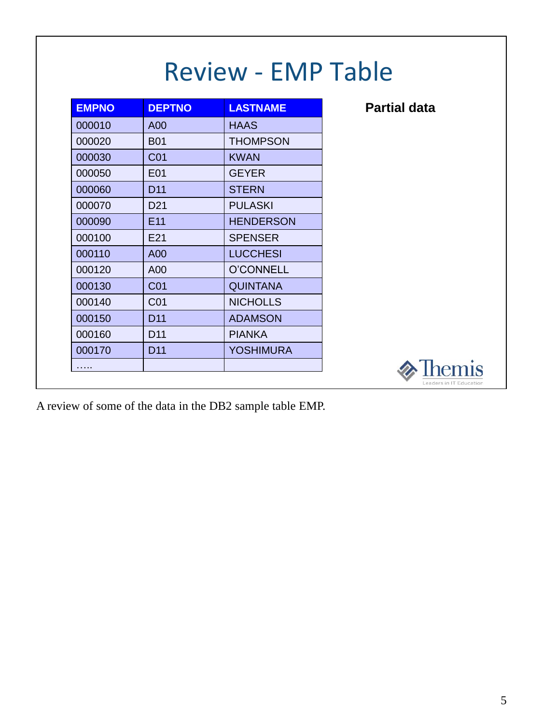| <b>EMPNO</b> | <b>DEPTNO</b>   | <b>LASTNAME</b>  |
|--------------|-----------------|------------------|
| 000010       | A <sub>0</sub>  | <b>HAAS</b>      |
| 000020       | <b>B01</b>      | THOMPSON         |
| 000030       | CO <sub>1</sub> | <b>KWAN</b>      |
| 000050       | E <sub>01</sub> | <b>GEYER</b>     |
| 000060       | D <sub>11</sub> | <b>STERN</b>     |
| 000070       | D <sub>21</sub> | <b>PULASKI</b>   |
| 000090       | F <sub>11</sub> | <b>HENDERSON</b> |
| 000100       | F <sub>21</sub> | <b>SPENSER</b>   |
| 000110       | A <sub>00</sub> | <b>LUCCHESI</b>  |
| 000120       | A <sub>0</sub>  | O'CONNELL        |
| 000130       | C <sub>01</sub> | QUINTANA         |
| 000140       | CO <sub>1</sub> | <b>NICHOLLS</b>  |
| 000150       | D <sub>11</sub> | <b>ADAMSON</b>   |
| 000160       | D <sub>11</sub> | <b>PIANKA</b>    |
| 000170       | D <sub>11</sub> | YOSHIMURA        |
| .            |                 |                  |

Review - EMP Table

**Partial data**



A review of some of the data in the DB2 sample table EMP.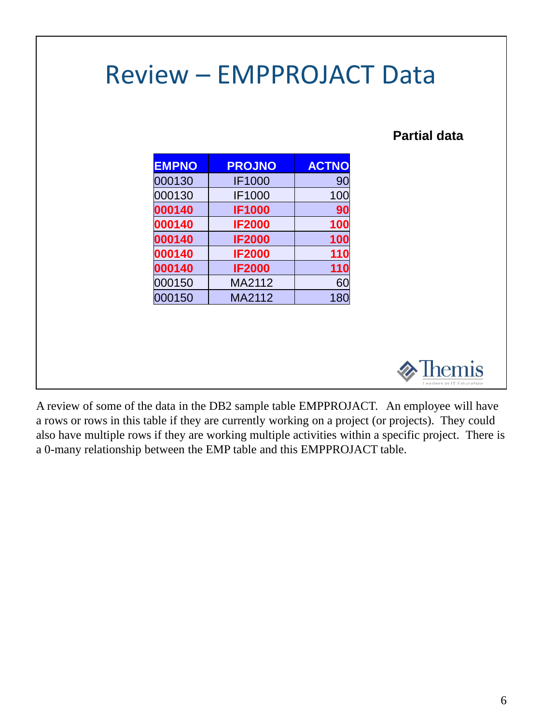### Review – EMPPROJACT Data

#### **Partial data**

| <b>PROJNO</b> | <b>ACTNO</b> |
|---------------|--------------|
| <b>IF1000</b> | 90           |
| <b>IF1000</b> | 100          |
| <b>IF1000</b> | 90           |
| <b>IF2000</b> | 100          |
| <b>IF2000</b> | 100          |
| <b>IF2000</b> | 110          |
| <b>IF2000</b> | 110          |
| MA2112        | 60           |
| MA2112        | 180          |
|               |              |



A review of some of the data in the DB2 sample table EMPPROJACT. An employee will have a rows or rows in this table if they are currently working on a project (or projects). They could also have multiple rows if they are working multiple activities within a specific project. There is a 0-many relationship between the EMP table and this EMPPROJACT table.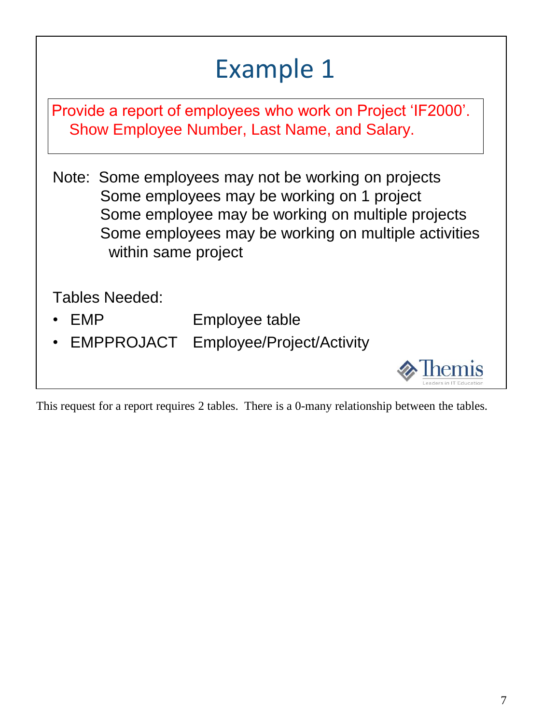|                       | <b>Example 1</b>                                                                                                                                                                                               |
|-----------------------|----------------------------------------------------------------------------------------------------------------------------------------------------------------------------------------------------------------|
|                       | Provide a report of employees who work on Project 'IF2000'.<br>Show Employee Number, Last Name, and Salary.                                                                                                    |
| within same project   | Note: Some employees may not be working on projects<br>Some employees may be working on 1 project<br>Some employee may be working on multiple projects<br>Some employees may be working on multiple activities |
| Tables Needed:<br>EMP | Employee table<br>EMPPROJACT Employee/Project/Activity                                                                                                                                                         |

This request for a report requires 2 tables. There is a 0-many relationship between the tables.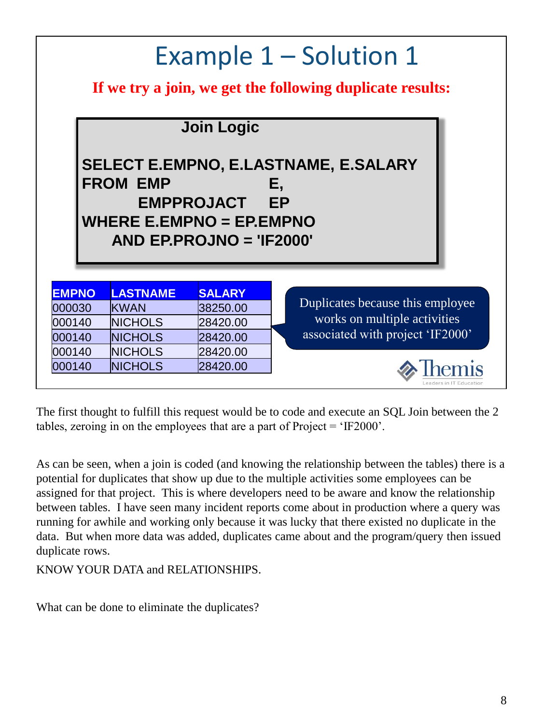#### Example 1 – Solution 1 **If we try a join, we get the following duplicate results: Join Logic SELECT E.EMPNO, E.LASTNAME, E.SALARY FROM EMP E, EMPPROJACT EP WHERE E.EMPNO = EP.EMPNO AND EP.PROJNO = 'IF2000' EMPNO LASTNAME SALARY** 000030 KWAN 38250.00 000140 NICHOLS 28420.00 000140 NICHOLS 28420.00 000140 NICHOLS 28420.00 000140 NICHOLS 28420.00 Duplicates because this employee works on multiple activities associated with project 'IF2000'

The first thought to fulfill this request would be to code and execute an SQL Join between the 2 tables, zeroing in on the employees that are a part of Project = 'IF2000'.

As can be seen, when a join is coded (and knowing the relationship between the tables) there is a potential for duplicates that show up due to the multiple activities some employees can be assigned for that project. This is where developers need to be aware and know the relationship between tables. I have seen many incident reports come about in production where a query was running for awhile and working only because it was lucky that there existed no duplicate in the data. But when more data was added, duplicates came about and the program/query then issued duplicate rows.

KNOW YOUR DATA and RELATIONSHIPS.

What can be done to eliminate the duplicates?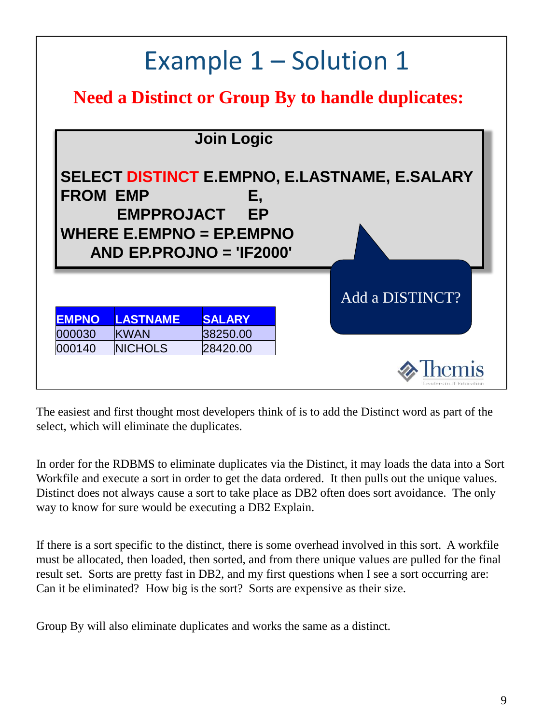|                  |                         |                                                                     | Example 1 – Solution 1                                   |
|------------------|-------------------------|---------------------------------------------------------------------|----------------------------------------------------------|
|                  |                         |                                                                     | <b>Need a Distinct or Group By to handle duplicates:</b> |
|                  |                         | <b>Join Logic</b>                                                   |                                                          |
| <b>FROM EMP</b>  | <b>EMPPROJACT</b>       | Ε,<br>EP<br>WHERE E.EMPNO = $EP.$ EMPNO<br>AND EP.PROJNO = 'IF2000' | <b>SELECT DISTINCT E.EMPNO, E.LASTNAME, E.SALARY</b>     |
|                  |                         |                                                                     | Add a DISTINCT?                                          |
| <b>EMPNO</b>     | <b>LASTNAME</b>         | <b>SALARY</b>                                                       |                                                          |
| 000030<br>000140 | IKWAN<br><b>NICHOLS</b> | 38250.00<br>28420.00                                                |                                                          |
|                  |                         |                                                                     | eaders in IT Education                                   |

The easiest and first thought most developers think of is to add the Distinct word as part of the select, which will eliminate the duplicates.

In order for the RDBMS to eliminate duplicates via the Distinct, it may loads the data into a Sort Workfile and execute a sort in order to get the data ordered. It then pulls out the unique values. Distinct does not always cause a sort to take place as DB2 often does sort avoidance. The only way to know for sure would be executing a DB2 Explain.

If there is a sort specific to the distinct, there is some overhead involved in this sort. A workfile must be allocated, then loaded, then sorted, and from there unique values are pulled for the final result set. Sorts are pretty fast in DB2, and my first questions when I see a sort occurring are: Can it be eliminated? How big is the sort? Sorts are expensive as their size.

Group By will also eliminate duplicates and works the same as a distinct.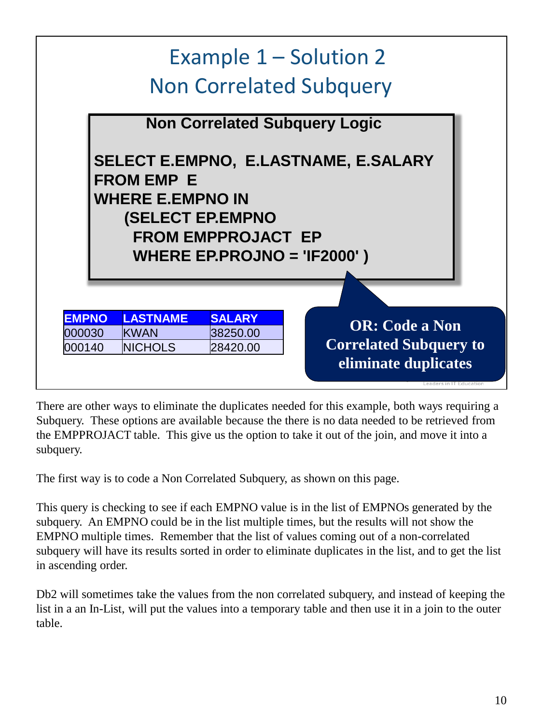

There are other ways to eliminate the duplicates needed for this example, both ways requiring a Subquery. These options are available because the there is no data needed to be retrieved from the EMPPROJACT table. This give us the option to take it out of the join, and move it into a subquery.

The first way is to code a Non Correlated Subquery, as shown on this page.

This query is checking to see if each EMPNO value is in the list of EMPNOs generated by the subquery. An EMPNO could be in the list multiple times, but the results will not show the EMPNO multiple times. Remember that the list of values coming out of a non-correlated subquery will have its results sorted in order to eliminate duplicates in the list, and to get the list in ascending order.

Db2 will sometimes take the values from the non correlated subquery, and instead of keeping the list in a an In-List, will put the values into a temporary table and then use it in a join to the outer table.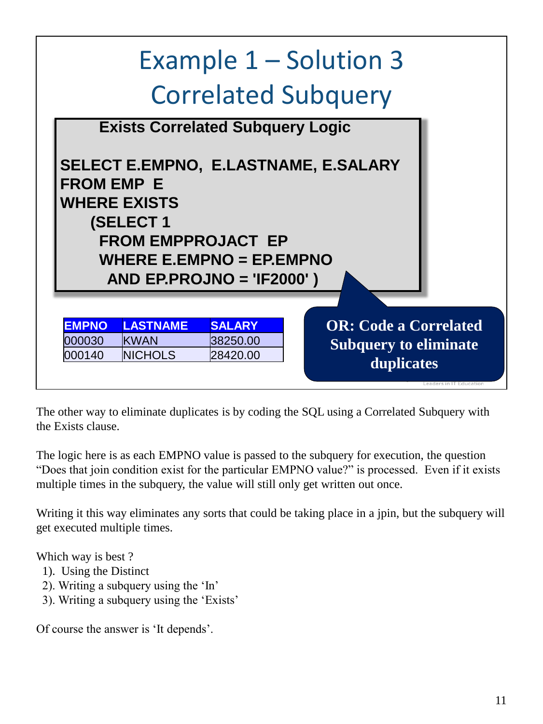

The other way to eliminate duplicates is by coding the SQL using a Correlated Subquery with the Exists clause.

The logic here is as each EMPNO value is passed to the subquery for execution, the question "Does that join condition exist for the particular EMPNO value?" is processed. Even if it exists multiple times in the subquery, the value will still only get written out once.

Writing it this way eliminates any sorts that could be taking place in a jpin, but the subquery will get executed multiple times.

Which way is best ?

- 1). Using the Distinct
- 2). Writing a subquery using the 'In'
- 3). Writing a subquery using the 'Exists'

Of course the answer is 'It depends'.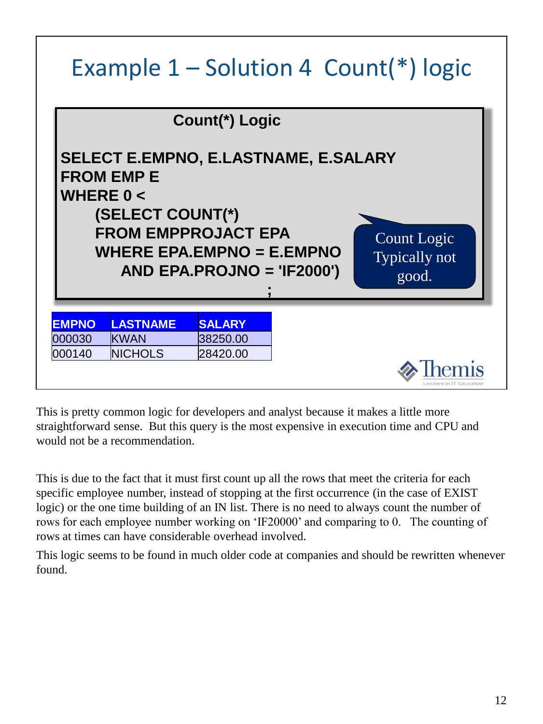#### Example  $1$  – Solution 4 Count(\*) logic

|              |                                                                                                     | Count(*) Logic               |                                             |                                              |
|--------------|-----------------------------------------------------------------------------------------------------|------------------------------|---------------------------------------------|----------------------------------------------|
| WHERE $0 <$  | <b>FROM EMP E</b><br>(SELECT COUNT(*)<br><b>FROM EMPPROJACT EPA</b><br>WHERE EPA.EMPNO = $E.$ EMPNO | $AND EPA.PROJNO = 'IF2000')$ | <b>SELECT E.EMPNO, E.LASTNAME, E.SALARY</b> | Count Logic<br><b>Typically not</b><br>good. |
| <b>EMPNO</b> | <b>LASTNAME</b>                                                                                     | <b>SALARY</b>                |                                             |                                              |
| 000030       | <b>KWAN</b>                                                                                         | 38250.00                     |                                             |                                              |
| 000140       | <b>NICHOLS</b>                                                                                      | 28420.00                     |                                             |                                              |
|              |                                                                                                     |                              |                                             | Leaders in IT Education                      |

This is pretty common logic for developers and analyst because it makes a little more straightforward sense. But this query is the most expensive in execution time and CPU and would not be a recommendation.

This is due to the fact that it must first count up all the rows that meet the criteria for each specific employee number, instead of stopping at the first occurrence (in the case of EXIST logic) or the one time building of an IN list. There is no need to always count the number of rows for each employee number working on 'IF20000' and comparing to 0. The counting of rows at times can have considerable overhead involved.

This logic seems to be found in much older code at companies and should be rewritten whenever found.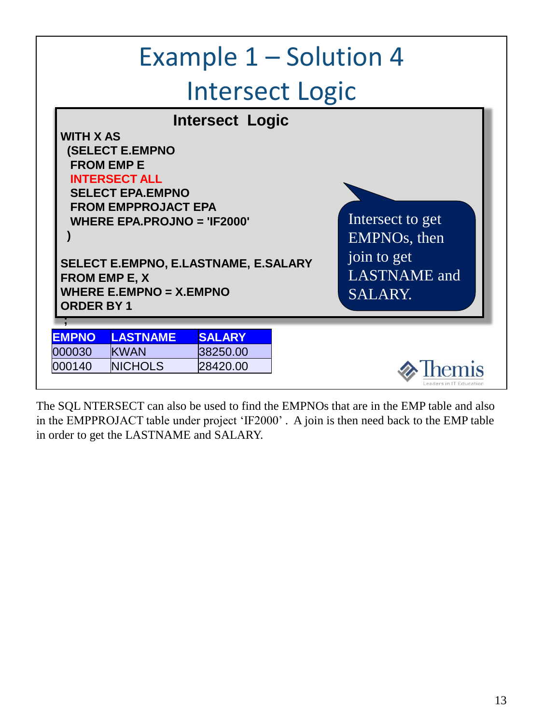|                        |                                                                                                                                                                                                                                                                                                           |                           | Example 1 – Solution 4                                                                         |
|------------------------|-----------------------------------------------------------------------------------------------------------------------------------------------------------------------------------------------------------------------------------------------------------------------------------------------------------|---------------------------|------------------------------------------------------------------------------------------------|
|                        |                                                                                                                                                                                                                                                                                                           |                           | <b>Intersect Logic</b>                                                                         |
|                        | <b>WITH X AS</b><br><b>(SELECT E.EMPNO</b><br><b>FROM EMP E</b><br><b>INTERSECT ALL</b><br><b>SELECT EPA.EMPNO</b><br><b>FROM EMPPROJACT EPA</b><br><b>WHERE EPA.PROJNO = 'IF2000'</b><br>SELECT E.EMPNO, E.LASTNAME, E.SALARY<br><b>FROM EMP E, X</b><br>WHERE E.EMPNO = $X$ .EMPNO<br><b>ORDER BY 1</b> | <b>Intersect Logic</b>    | Intersect to get<br>EMPNO <sub>s</sub> , then<br>join to get<br><b>LASTNAME</b> and<br>SALARY. |
|                        |                                                                                                                                                                                                                                                                                                           |                           |                                                                                                |
| <b>EMPNO</b><br>000030 | <b>LASTNAME</b><br><b>KWAN</b>                                                                                                                                                                                                                                                                            | <b>SALARY</b><br>38250.00 |                                                                                                |
| 000140                 | <b>NICHOLS</b>                                                                                                                                                                                                                                                                                            | 28420.00                  |                                                                                                |

The SQL NTERSECT can also be used to find the EMPNOs that are in the EMP table and also in the EMPPROJACT table under project 'IF2000' . A join is then need back to the EMP table in order to get the LASTNAME and SALARY.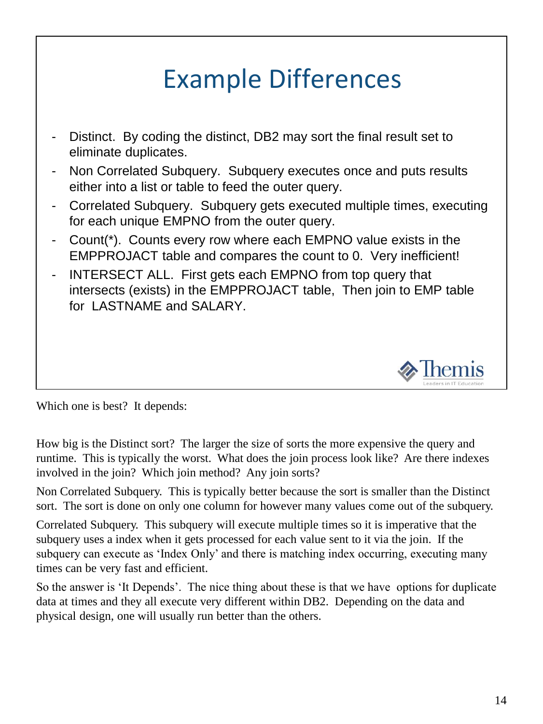#### Example Differences

- Distinct. By coding the distinct, DB2 may sort the final result set to eliminate duplicates.
- Non Correlated Subquery. Subquery executes once and puts results either into a list or table to feed the outer query.
- Correlated Subquery. Subquery gets executed multiple times, executing for each unique EMPNO from the outer query.
- Count(\*). Counts every row where each EMPNO value exists in the EMPPROJACT table and compares the count to 0. Very inefficient!
- INTERSECT ALL. First gets each EMPNO from top query that intersects (exists) in the EMPPROJACT table, Then join to EMP table for LASTNAME and SALARY.



Which one is best? It depends:

How big is the Distinct sort? The larger the size of sorts the more expensive the query and runtime. This is typically the worst. What does the join process look like? Are there indexes involved in the join? Which join method? Any join sorts?

Non Correlated Subquery. This is typically better because the sort is smaller than the Distinct sort. The sort is done on only one column for however many values come out of the subquery.

Correlated Subquery. This subquery will execute multiple times so it is imperative that the subquery uses a index when it gets processed for each value sent to it via the join. If the subquery can execute as 'Index Only' and there is matching index occurring, executing many times can be very fast and efficient.

So the answer is 'It Depends'. The nice thing about these is that we have options for duplicate data at times and they all execute very different within DB2. Depending on the data and physical design, one will usually run better than the others.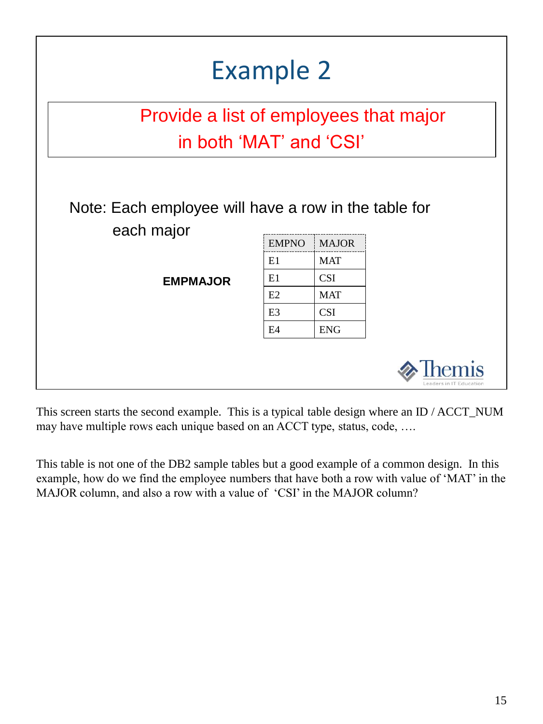|                                                                    | <b>Example 2</b>                       |              |                         |  |  |
|--------------------------------------------------------------------|----------------------------------------|--------------|-------------------------|--|--|
|                                                                    | Provide a list of employees that major |              |                         |  |  |
| in both 'MAT' and 'CSI'                                            |                                        |              |                         |  |  |
| Note: Each employee will have a row in the table for<br>each major | <b>EMPNO</b>                           | <b>MAJOR</b> |                         |  |  |
|                                                                    | E1                                     | <b>MAT</b>   |                         |  |  |
| <b>EMPMAJOR</b>                                                    | E1                                     | <b>CSI</b>   |                         |  |  |
|                                                                    | E2                                     | <b>MAT</b>   |                         |  |  |
|                                                                    | E <sub>3</sub>                         | <b>CSI</b>   |                         |  |  |
|                                                                    | E4                                     | <b>ENG</b>   |                         |  |  |
|                                                                    |                                        |              | Leaders in IT Education |  |  |

This screen starts the second example. This is a typical table design where an ID / ACCT\_NUM may have multiple rows each unique based on an ACCT type, status, code, ….

This table is not one of the DB2 sample tables but a good example of a common design. In this example, how do we find the employee numbers that have both a row with value of 'MAT' in the MAJOR column, and also a row with a value of 'CSI' in the MAJOR column?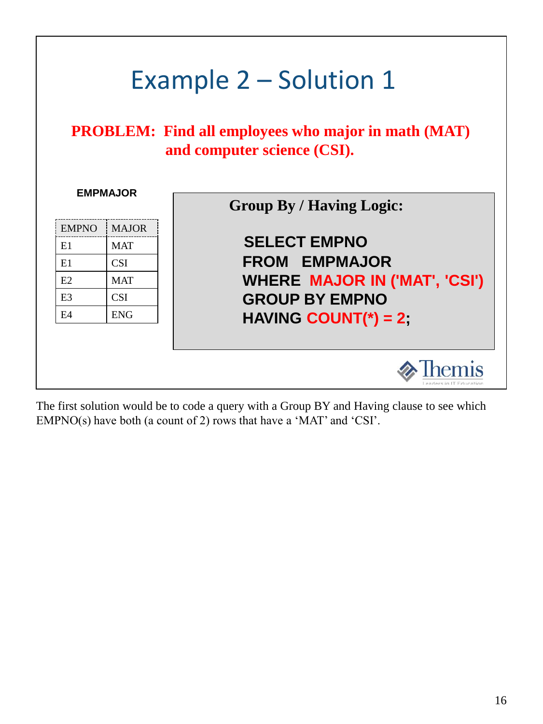

The first solution would be to code a query with a Group BY and Having clause to see which EMPNO(s) have both (a count of 2) rows that have a 'MAT' and 'CSI'.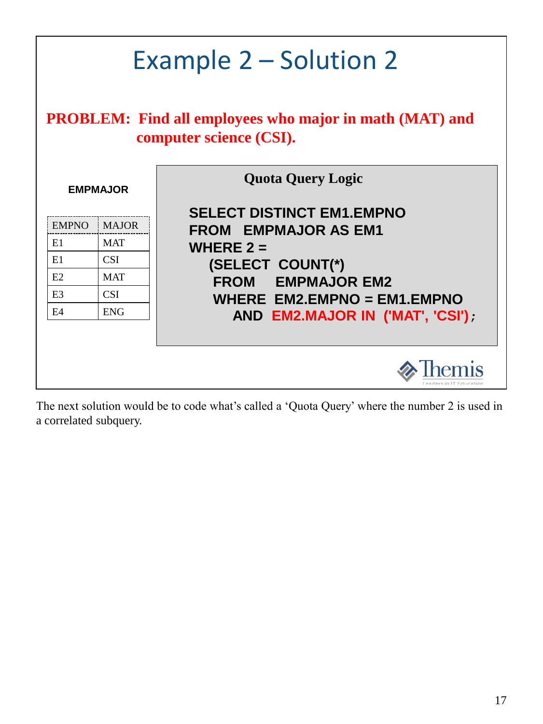|                | Example 2 – Solution 2<br><b>PROBLEM:</b> Find all employees who major in math (MAT) and<br>computer science (CSI). |                                                                 |  |  |
|----------------|---------------------------------------------------------------------------------------------------------------------|-----------------------------------------------------------------|--|--|
|                | <b>Quota Query Logic</b><br><b>EMPMAJOR</b>                                                                         |                                                                 |  |  |
| <b>EMPNO</b>   | <b>MAJOR</b>                                                                                                        | <b>SELECT DISTINCT EM1.EMPNO</b><br><b>FROM EMPMAJOR AS EM1</b> |  |  |
| E1             | <b>MAT</b>                                                                                                          | WHERE $2 =$                                                     |  |  |
| E1             | <b>CSI</b>                                                                                                          | (SELECT COUNT(*)                                                |  |  |
| E2             | <b>MAT</b>                                                                                                          | <b>FROM EMPMAJOR EM2</b>                                        |  |  |
| E <sub>3</sub> | <b>CSI</b><br>WHERE $EM2$ .EMPNO = EM1.EMPNO                                                                        |                                                                 |  |  |
| FA             | <b>ENG</b><br>AND EM2.MAJOR IN ('MAT', 'CSI');                                                                      |                                                                 |  |  |
|                |                                                                                                                     |                                                                 |  |  |

The next solution would be to code what's called a 'Quota Query' where the number 2 is used in a correlated subquery.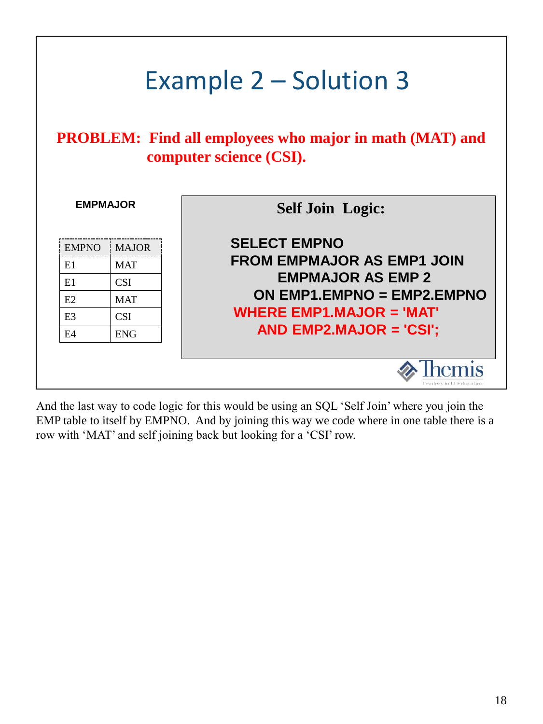|                            | Example 2 – Solution 3                                                                    |                                                                                          |  |  |  |
|----------------------------|-------------------------------------------------------------------------------------------|------------------------------------------------------------------------------------------|--|--|--|
|                            | <b>PROBLEM:</b> Find all employees who major in math (MAT) and<br>computer science (CSI). |                                                                                          |  |  |  |
| <b>EMPMAJOR</b>            |                                                                                           | <b>Self Join Logic:</b>                                                                  |  |  |  |
| <b>EMPNO</b><br>E1<br>E1   | <b>MAJOR</b><br><b>MAT</b><br><b>CSI</b>                                                  | <b>SELECT EMPNO</b><br><b>FROM EMPMAJOR AS EMP1 JOIN</b><br><b>EMPMAJOR AS EMP 2</b>     |  |  |  |
| E2<br>E <sub>3</sub><br>E4 | <b>MAT</b><br><b>CSI</b><br><b>ENG</b>                                                    | ON $EMP1.EMPNO = EMP2.EMPNO$<br>WHERE $EMP1.MAJOR = 'MAT'$<br>AND EMP2.MAJOR = $'CSI'$ ; |  |  |  |
|                            |                                                                                           | eaders in IT Education                                                                   |  |  |  |

And the last way to code logic for this would be using an SQL 'Self Join' where you join the EMP table to itself by EMPNO. And by joining this way we code where in one table there is a row with 'MAT' and self joining back but looking for a 'CSI' row.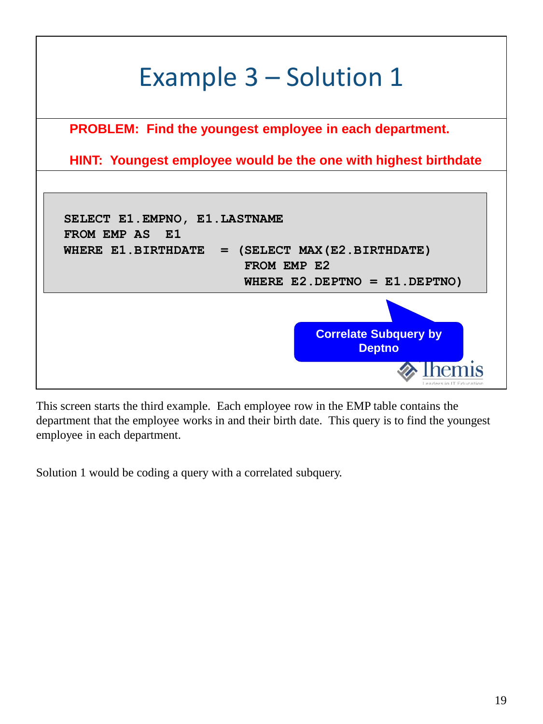

This screen starts the third example. Each employee row in the EMP table contains the department that the employee works in and their birth date. This query is to find the youngest employee in each department.

Solution 1 would be coding a query with a correlated subquery.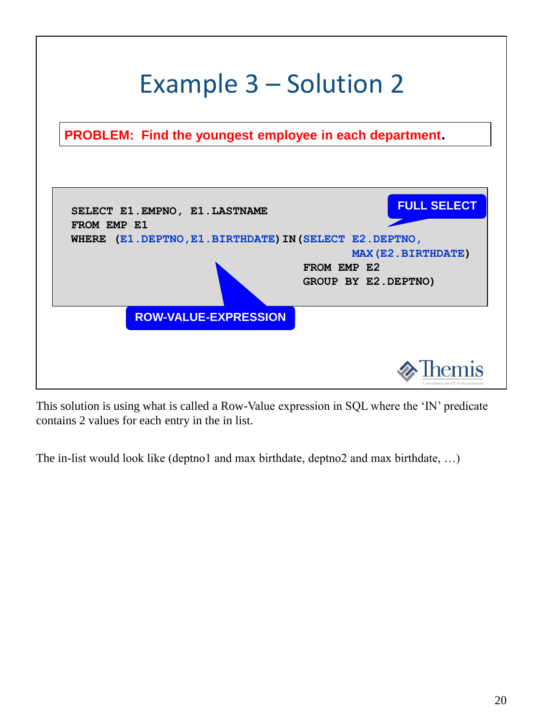

This solution is using what is called a Row-Value expression in SQL where the 'IN' predicate contains 2 values for each entry in the in list.

The in-list would look like (deptno1 and max birthdate, deptno2 and max birthdate, …)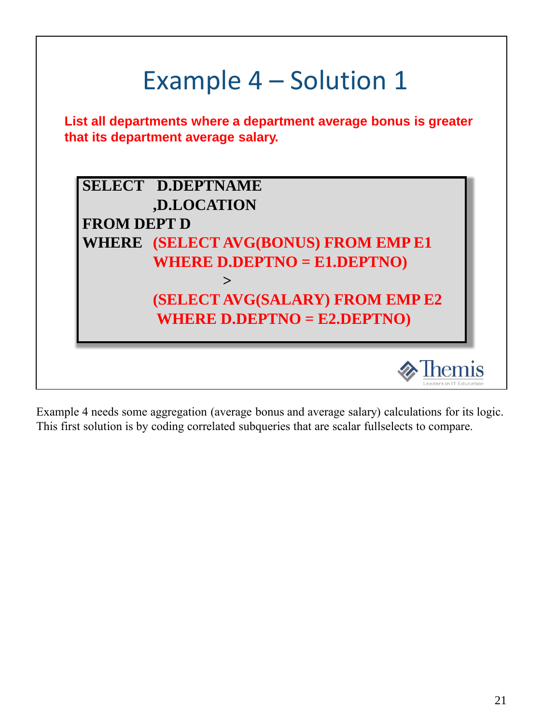

Example 4 needs some aggregation (average bonus and average salary) calculations for its logic. This first solution is by coding correlated subqueries that are scalar fullselects to compare.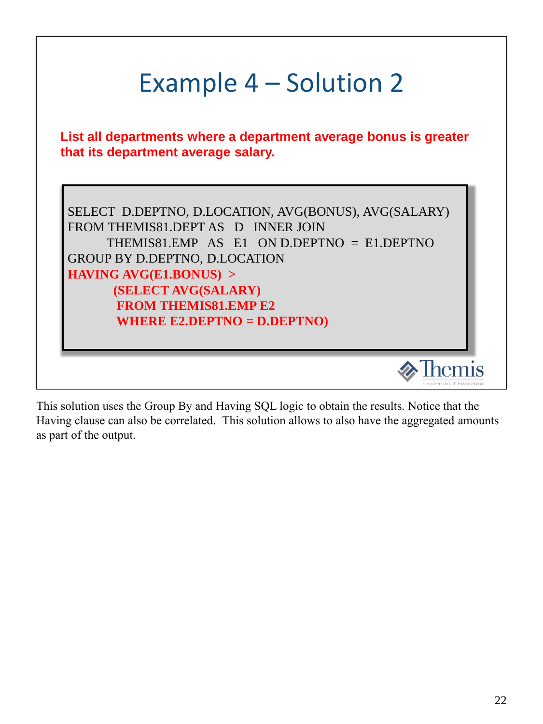|                                                                                                                          | Example 4 – Solution 2 |                        |
|--------------------------------------------------------------------------------------------------------------------------|------------------------|------------------------|
| List all departments where a department average bonus is greater<br>that its department average salary.                  |                        |                        |
| SELECT D.DEPTNO, D.LOCATION, AVG(BONUS), AVG(SALARY)                                                                     |                        |                        |
| FROM THEMIS81.DEPT AS D INNER JOIN<br>THEMIS81.EMP AS E1 ON D.DEPTNO = E1.DEPTNO<br><b>GROUP BY D.DEPTNO, D.LOCATION</b> |                        |                        |
| <b>HAVING AVG(E1.BONUS) &gt;</b><br>(SELECT AVG(SALARY)<br><b>FROM THEMIS81.EMP E2</b>                                   |                        |                        |
| WHERE E2.DEPTNO = $D.DEPTNO$                                                                                             |                        |                        |
|                                                                                                                          |                        | eaders in IT Education |

This solution uses the Group By and Having SQL logic to obtain the results. Notice that the Having clause can also be correlated. This solution allows to also have the aggregated amounts as part of the output.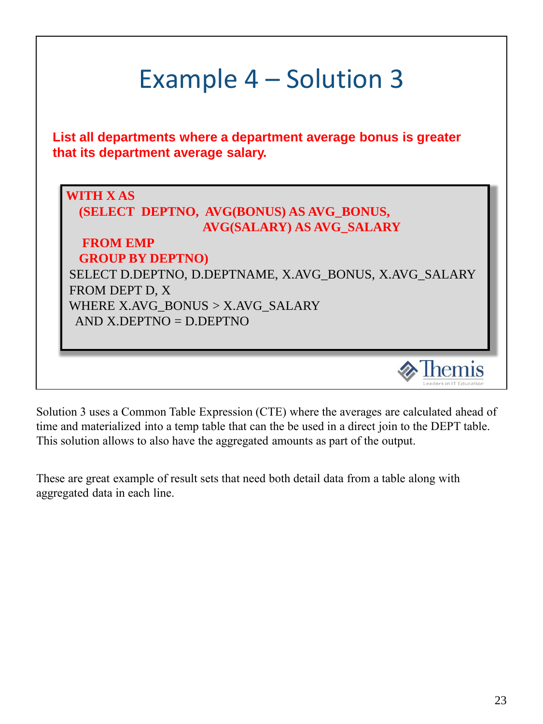| Example 4 – Solution 3                                                                                                                                                                                                                                                                      |
|---------------------------------------------------------------------------------------------------------------------------------------------------------------------------------------------------------------------------------------------------------------------------------------------|
| List all departments where a department average bonus is greater<br>that its department average salary.                                                                                                                                                                                     |
| <b>WITH X AS</b><br>(SELECT DEPTNO, AVG(BONUS) AS AVG_BONUS,<br><b>AVG(SALARY) AS AVG_SALARY</b><br><b>FROM EMP</b><br><b>GROUP BY DEPTNO)</b><br>SELECT D.DEPTNO, D.DEPTNAME, X.AVG_BONUS, X.AVG_SALARY<br>FROM DEPT D, X<br>WHERE X.AVG_BONUS > X.AVG_SALARY<br>$AND X.DEPTNO = D.DEPTNO$ |
|                                                                                                                                                                                                                                                                                             |

Solution 3 uses a Common Table Expression (CTE) where the averages are calculated ahead of time and materialized into a temp table that can the be used in a direct join to the DEPT table. This solution allows to also have the aggregated amounts as part of the output.

These are great example of result sets that need both detail data from a table along with aggregated data in each line.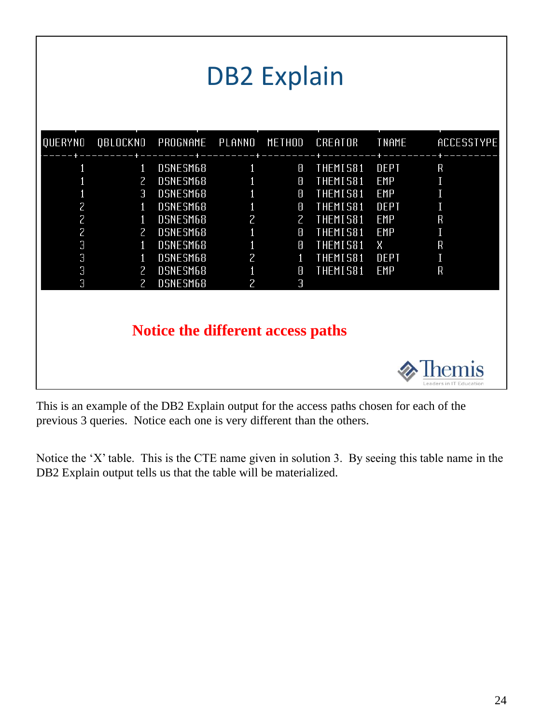|                                                                        |                                                                                              |                                                                                                                      |                                                                                   | <b>DB2 Explain</b>                                                                        |                                                                                                                        |                                                                                                 |                                                     |
|------------------------------------------------------------------------|----------------------------------------------------------------------------------------------|----------------------------------------------------------------------------------------------------------------------|-----------------------------------------------------------------------------------|-------------------------------------------------------------------------------------------|------------------------------------------------------------------------------------------------------------------------|-------------------------------------------------------------------------------------------------|-----------------------------------------------------|
| QUERYNO                                                                | QBLOCKNO                                                                                     | PROGNAME                                                                                                             | PLANNO                                                                            | METHOD                                                                                    | CREATOR                                                                                                                | <b>TNAME</b>                                                                                    | ACCESSTYPE                                          |
| $\overline{c}$<br>$\overline{c}$<br>$\overline{c}$<br>3<br>3<br>3<br>3 | 1<br>2<br>З<br>1<br>$\mathbf{1}$<br>$\mathbf{Z}$<br>1<br>1<br>$\mathsf{Z}$<br>$\overline{2}$ | DSNESM68<br>DSNESM68<br>DSNESM68<br>DSNESM68<br>DSNESM68<br>DSNESM68<br>DSNESM68<br>DSNESM68<br>DSNESM68<br>DSNESM68 | 1<br>$\overline{c}$<br>$\mathbf{1}$<br>1<br>$\overline{c}$<br>1<br>$\overline{c}$ | 7<br>8<br>8<br>0<br>$\overline{2}$<br>$\overline{\text{}}$<br>0<br>$\mathbf{1}$<br>8<br>З | THEMIS81<br><b>THEMIS81</b><br>THEMIS81<br>THEMIS81<br><b>THEMIS81</b><br>THEMIS81<br>THEMIS81<br>THEMIS81<br>THEMIS81 | DEPT<br><b>EMP</b><br><b>EMP</b><br>DEPT<br><b>EMP</b><br><b>EMP</b><br>Χ<br>DEPT<br><b>EMP</b> | $\mathsf R$<br>I<br>R<br>I<br>$\mathsf R$<br>I<br>R |
|                                                                        |                                                                                              | Notice the different access paths                                                                                    |                                                                                   |                                                                                           |                                                                                                                        |                                                                                                 | eaders in IT Education                              |

This is an example of the DB2 Explain output for the access paths chosen for each of the previous 3 queries. Notice each one is very different than the others.

Notice the 'X' table. This is the CTE name given in solution 3. By seeing this table name in the DB2 Explain output tells us that the table will be materialized.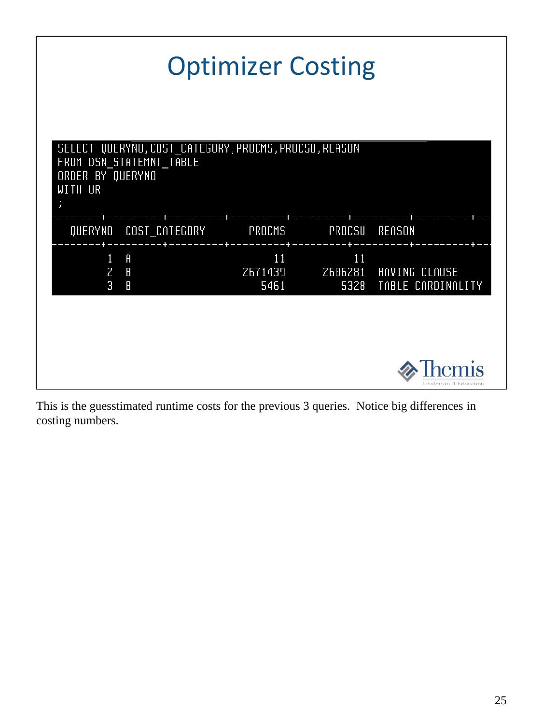|                                                             |                                                     |                                                       | <b>Optimizer Costing</b> |                                                         |
|-------------------------------------------------------------|-----------------------------------------------------|-------------------------------------------------------|--------------------------|---------------------------------------------------------|
| FROM DSN_STATEMNT_TABLE<br>ORDER BY QUERYNO<br>WITH UR<br>ÿ |                                                     | SELECT QUERYNO, COST_CATEGORY, PROCMS, PROCSU, REASON |                          |                                                         |
| QUERYNO COST CATEGORY                                       |                                                     | PROCMS                                                |                          | PROCSU REASON                                           |
| $1 \quad$<br>$2^{\circ}$<br>3                               | $\theta$<br>$\mathbf{B}$<br>$\overline{\mathsf{B}}$ | 11<br>5461                                            | 11                       | 2671439 2606281 HAVING CLAUSE<br>5328 TABLE CARDINALITY |
|                                                             |                                                     |                                                       |                          |                                                         |
|                                                             |                                                     |                                                       |                          | Leaders in IT Education                                 |

This is the guesstimated runtime costs for the previous 3 queries. Notice big differences in costing numbers.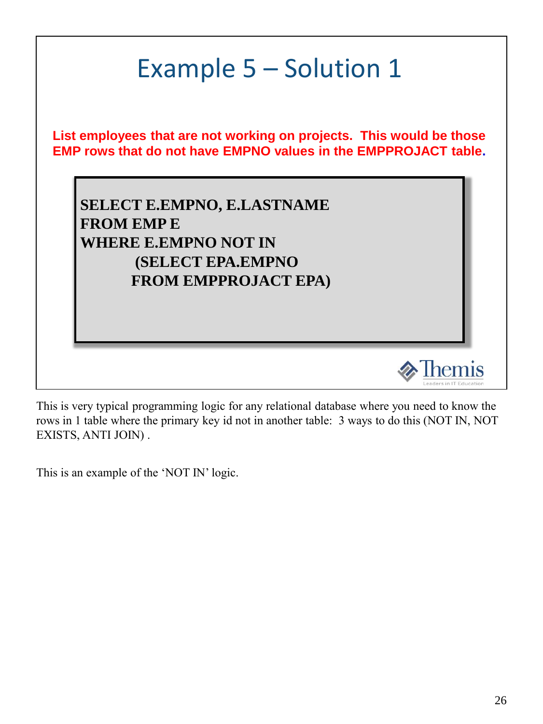

This is very typical programming logic for any relational database where you need to know the rows in 1 table where the primary key id not in another table: 3 ways to do this (NOT IN, NOT EXISTS, ANTI JOIN) .

This is an example of the 'NOT IN' logic.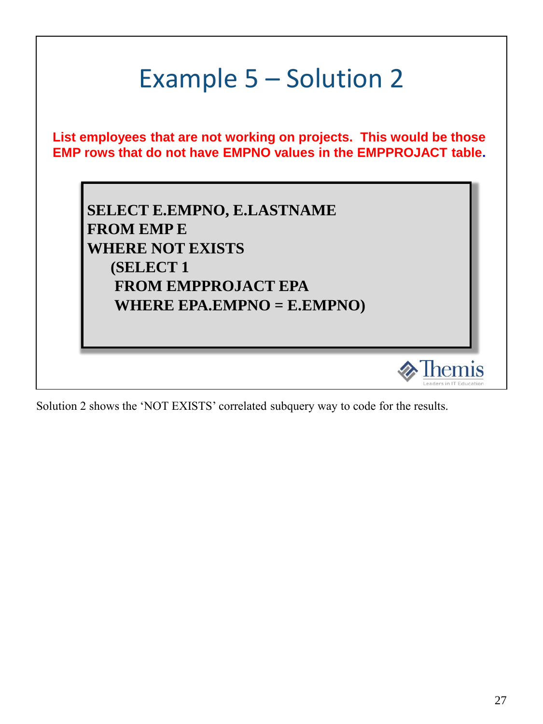

Solution 2 shows the 'NOT EXISTS' correlated subquery way to code for the results.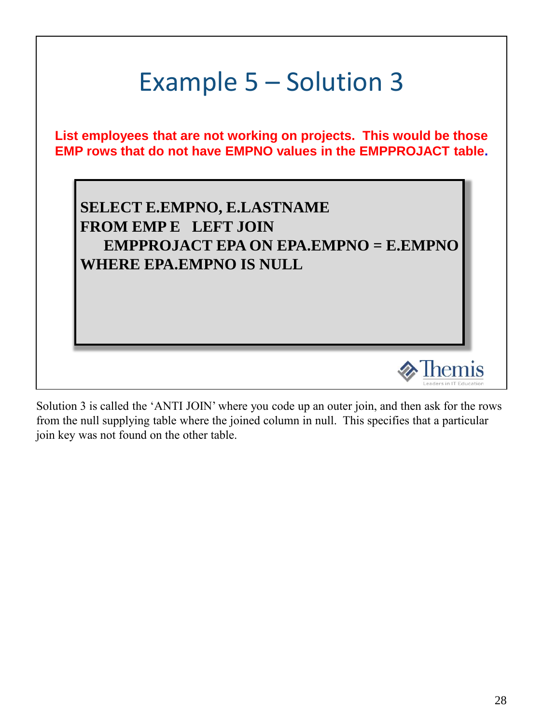

Solution 3 is called the 'ANTI JOIN' where you code up an outer join, and then ask for the rows from the null supplying table where the joined column in null. This specifies that a particular join key was not found on the other table.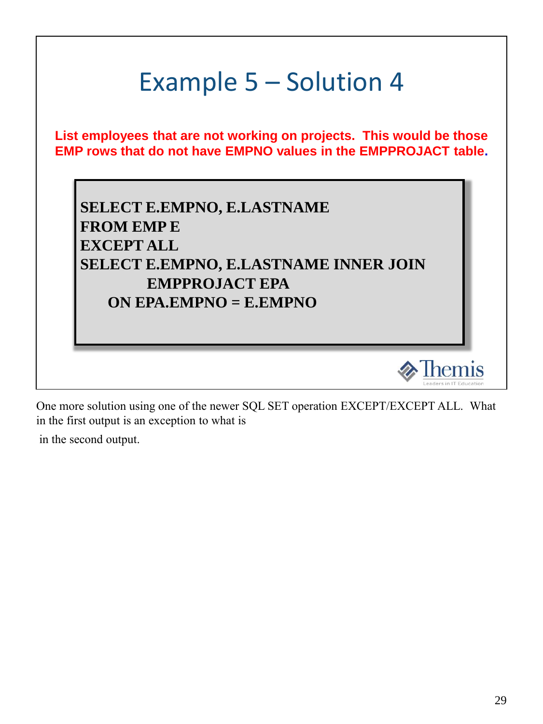

One more solution using one of the newer SQL SET operation EXCEPT/EXCEPT ALL. What in the first output is an exception to what is

in the second output.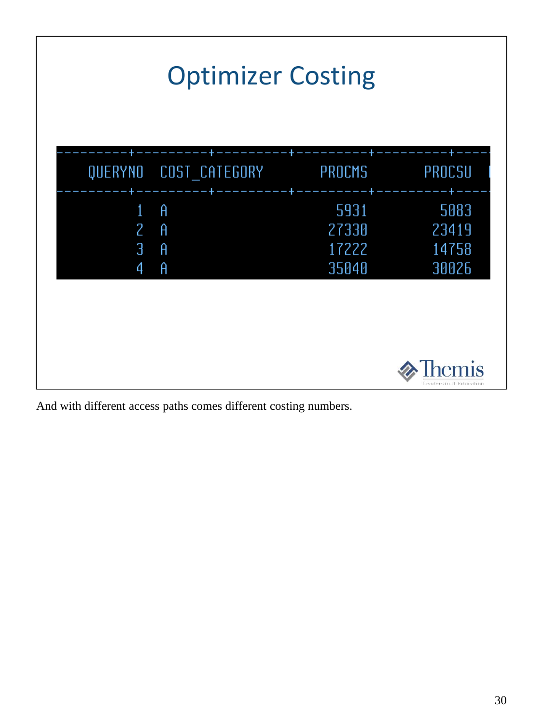|                  | <b>Optimizer Costing</b> |                                 |                                 |
|------------------|--------------------------|---------------------------------|---------------------------------|
|                  | QUERYNO COST CATEGORY    | PROCMS                          | PROCSU                          |
| 1<br>2<br>З<br>4 | Ĥ<br>Ĥ<br>Ĥ<br>Ĥ         | 5931<br>27330<br>17222<br>35040 | 5083<br>23419<br>14758<br>30026 |
|                  |                          |                                 | eaders in IT Education          |

And with different access paths comes different costing numbers.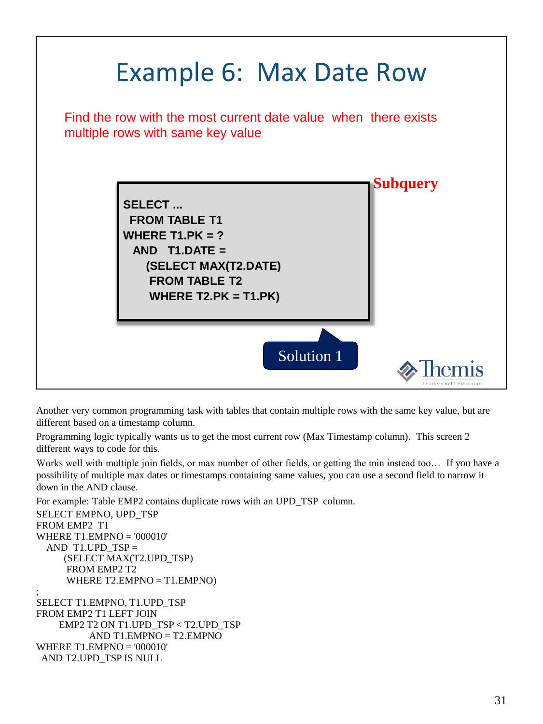

Another very common programming task with tables that contain multiple rows with the same key value, but are different based on a timestamp column.

Programming logic typically wants us to get the most current row (Max Timestamp column). This screen 2 different ways to code for this.

Works well with multiple join fields, or max number of other fields, or getting the min instead too… If you have a possibility of multiple max dates or timestamps containing same values, you can use a second field to narrow it down in the AND clause.

For example: Table EMP2 contains duplicate rows with an UPD\_TSP column. SELECT EMPNO, UPD\_TSP FROM EMP2 T1 WHERE T1.EMPNO = '000010' AND T1.UPD  $TSP =$ (SELECT MAX(T2.UPD\_TSP) FROM EMP2 T2 WHERE T2.EMPNO = T1.EMPNO) ; SELECT T1.EMPNO, T1.UPD\_TSP FROM EMP2 T1 LEFT JOIN EMP2 T2 ON T1.UPD\_TSP < T2.UPD\_TSP AND T1.EMPNO = T2.EMPNO WHERE T1.EMPNO = '000010' AND T2.UPD\_TSP IS NULL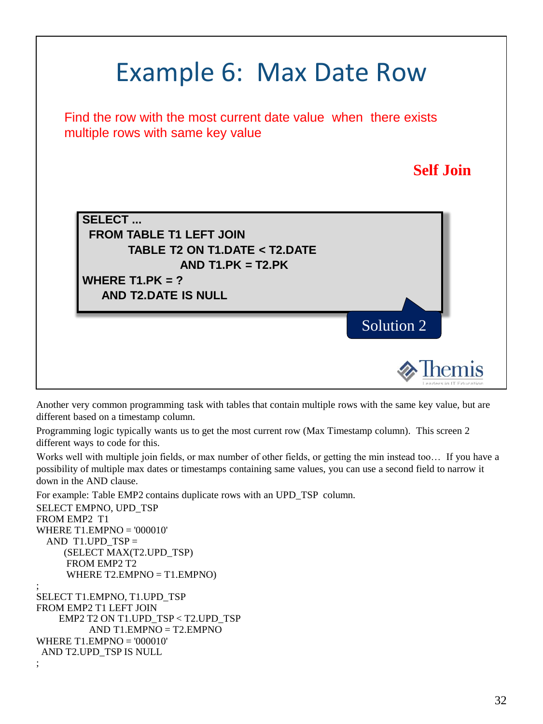

Another very common programming task with tables that contain multiple rows with the same key value, but are different based on a timestamp column.

Programming logic typically wants us to get the most current row (Max Timestamp column). This screen 2 different ways to code for this.

Works well with multiple join fields, or max number of other fields, or getting the min instead too… If you have a possibility of multiple max dates or timestamps containing same values, you can use a second field to narrow it down in the AND clause.

For example: Table EMP2 contains duplicate rows with an UPD\_TSP column. SELECT EMPNO, UPD\_TSP FROM EMP2 T1 WHERE T1.EMPNO = '000010' AND T1.UPD\_TSP  $=$ (SELECT MAX(T2.UPD\_TSP) FROM EMP2 T2 WHERE  $T2$ . EMPNO = T1. EMPNO) ; SELECT T1.EMPNO, T1.UPD\_TSP

```
FROM EMP2 T1 LEFT JOIN 
    EMP2 T2 ON T1.UPD_TSP < T2.UPD_TSP 
          AND T1.EMPNO = T2.EMPNO
WHERE T1.EMPNO = '000010' 
 AND T2.UPD_TSP IS NULL 
;
```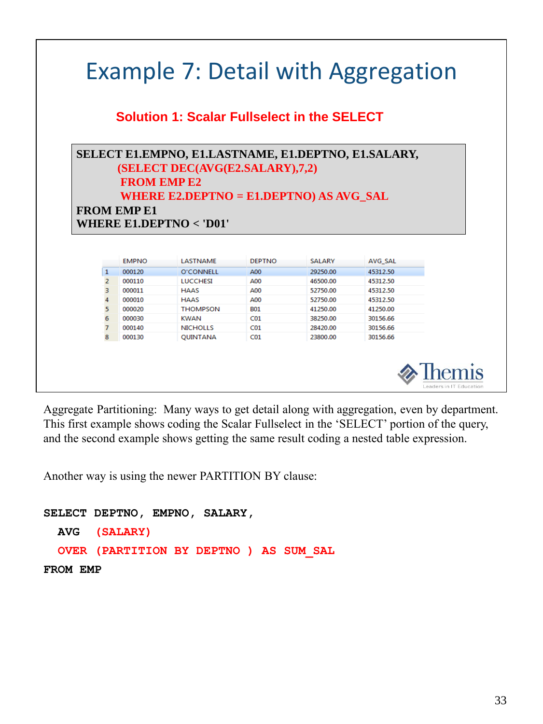|                                                  | <b>Solution 1: Scalar Fullselect in the SELECT</b> |                    |                      |                                 |                                                                                                 |
|--------------------------------------------------|----------------------------------------------------|--------------------|----------------------|---------------------------------|-------------------------------------------------------------------------------------------------|
| <b>FROM EMP E1</b><br>WHERE E1.DEPTN $O <$ 'D01' |                                                    |                    |                      |                                 |                                                                                                 |
|                                                  |                                                    |                    |                      |                                 |                                                                                                 |
| <b>EMPNO</b>                                     | LASTNAME                                           | <b>DEPTNO</b>      | <b>SALARY</b>        |                                 |                                                                                                 |
|                                                  |                                                    |                    |                      | AVG SAL                         |                                                                                                 |
| 000120<br>000110                                 | O'CONNELL                                          | A00<br>A00         | 29250.00             | 45312.50<br>45312.50            |                                                                                                 |
| 000011                                           | <b>LUCCHESI</b><br><b>HAAS</b>                     | A00                | 46500.00             | 45312.50                        |                                                                                                 |
| 000010                                           | <b>HAAS</b>                                        | A00                | 52750.00<br>52750.00 | 45312.50                        |                                                                                                 |
| 000020                                           | <b>THOMPSON</b>                                    | <b>B01</b>         | 41250.00             | 41250.00                        |                                                                                                 |
| 000030                                           | <b>KWAN</b>                                        | CO1                | 38250.00             | 30156.66                        |                                                                                                 |
| 000140                                           | <b>NICHOLLS</b>                                    | CO1                | 28420.00             | 30156.66                        |                                                                                                 |
|                                                  |                                                    | <b>FROM EMP E2</b> |                      | (SELECT DEC(AVG(E2.SALARY),7,2) | SELECT E1.EMPNO, E1.LASTNAME, E1.DEPTNO, E1.SALARY,<br>WHERE E2.DEPTNO = $E1.DEPTNO$ AS AVG_SAL |

Another way is using the newer PARTITION BY clause:

л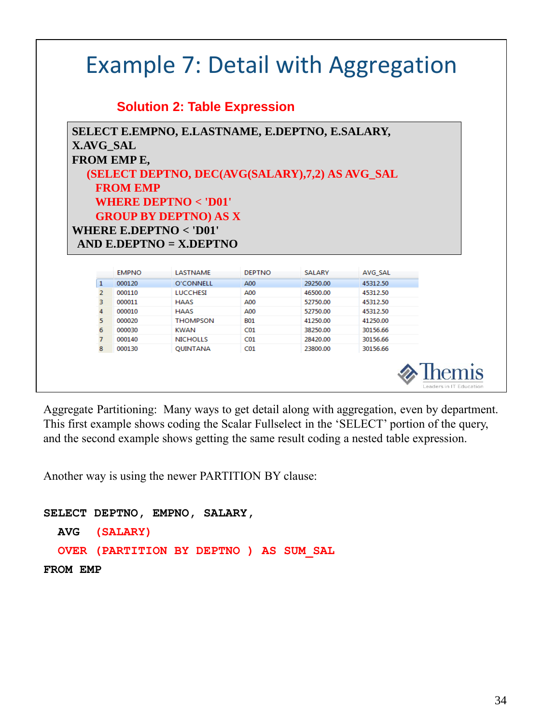|                               |                  | <b>Solution 2: Table Expression</b>             |               |               |                      |  |
|-------------------------------|------------------|-------------------------------------------------|---------------|---------------|----------------------|--|
|                               |                  | SELECT E.EMPNO, E.LASTNAME, E.DEPTNO, E.SALARY, |               |               |                      |  |
|                               | X.AVG_SAL        |                                                 |               |               |                      |  |
|                               |                  |                                                 |               |               |                      |  |
|                               | FROM EMPE,       |                                                 |               |               |                      |  |
|                               |                  | (SELECT DEPTNO, DEC(AVG(SALARY),7,2) AS AVG_SAL |               |               |                      |  |
|                               | <b>FROM EMP</b>  |                                                 |               |               |                      |  |
|                               |                  |                                                 |               |               |                      |  |
|                               |                  |                                                 |               |               |                      |  |
|                               |                  | WHERE DEPTNO $<$ 'D01'                          |               |               |                      |  |
|                               |                  |                                                 |               |               |                      |  |
|                               |                  | <b>GROUP BY DEPTNO) AS X</b>                    |               |               |                      |  |
|                               |                  | WHERE E.DEPTNO $<$ 'D01'                        |               |               |                      |  |
|                               |                  | AND E.DEPTNO = $X.DEPTNO$                       |               |               |                      |  |
|                               |                  |                                                 |               |               |                      |  |
|                               | <b>EMPNO</b>     | LASTNAME                                        | <b>DEPTNO</b> | <b>SALARY</b> |                      |  |
|                               |                  |                                                 |               | 29250.00      | AVG SAL              |  |
| $\mathbf{1}$<br>$\mathcal{P}$ | 000120<br>000110 | O'CONNELL<br><b>LUCCHEST</b>                    | A00<br>A00    | 46500.00      | 45312.50<br>45312.50 |  |
| 3.                            | 000011           | HAAS                                            | A00           | 52750.00      | 45312.50             |  |
| 4                             | 000010           | <b>HAAS</b>                                     | A00           | 52750.00      | 45312.50             |  |
| 5                             | 000020           | <b>THOMPSON</b>                                 | <b>B01</b>    | 41250.00      | 41250.00             |  |
| 6                             | 000030           | <b>KWAN</b>                                     | CO1           | 38250.00      | 30156.66             |  |
| $\overline{7}$                | 000140           | <b>NICHOLLS</b>                                 | CO1           | 28420.00      | 30156.66             |  |

Another way is using the newer PARTITION BY clause: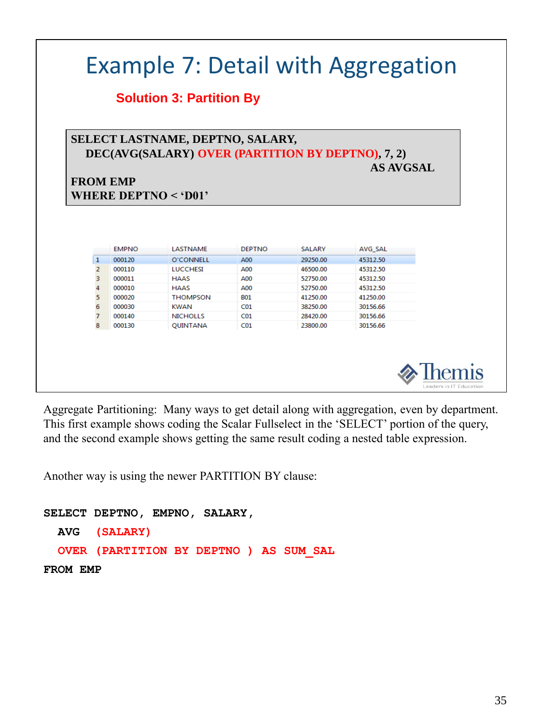|                |                 | <b>Solution 3: Partition By</b>                                                                                 |                 |               |                     |
|----------------|-----------------|-----------------------------------------------------------------------------------------------------------------|-----------------|---------------|---------------------|
|                | <b>FROM EMP</b> | SELECT LASTNAME, DEPTNO, SALARY,<br>DEC(AVG(SALARY) OVER (PARTITION BY DEPTNO), 7, 2)<br>WHERE DEPTNO $<$ 'D01' |                 |               | AS AVGSAL           |
|                |                 |                                                                                                                 |                 |               |                     |
|                | <b>EMPNO</b>    | <b>LASTNAME</b>                                                                                                 | <b>DEPTNO</b>   | <b>SALARY</b> |                     |
| 1              | 000120          | <b>O'CONNELL</b>                                                                                                | A00             | 29250.00      | AVG_SAL<br>45312.50 |
| $\overline{2}$ | 000110          | <b>LUCCHESI</b>                                                                                                 | A00             | 46500.00      | 45312.50            |
| 3              | 000011          | <b>HAAS</b>                                                                                                     | A00             | 52750.00      | 45312.50            |
| 4              | 000010          | <b>HAAS</b>                                                                                                     | A00             | 52750.00      | 45312.50            |
| 5              | 000020          | <b>THOMPSON</b>                                                                                                 | <b>B01</b>      | 41250.00      | 41250.00            |
| 6              | 000030          | <b>KWAN</b>                                                                                                     | CO1             | 38250.00      | 30156.66            |
| $\overline{7}$ | 000140          | <b>NICHOLLS</b>                                                                                                 | CO <sub>1</sub> | 28420.00      | 30156.66            |

Another way is using the newer PARTITION BY clause: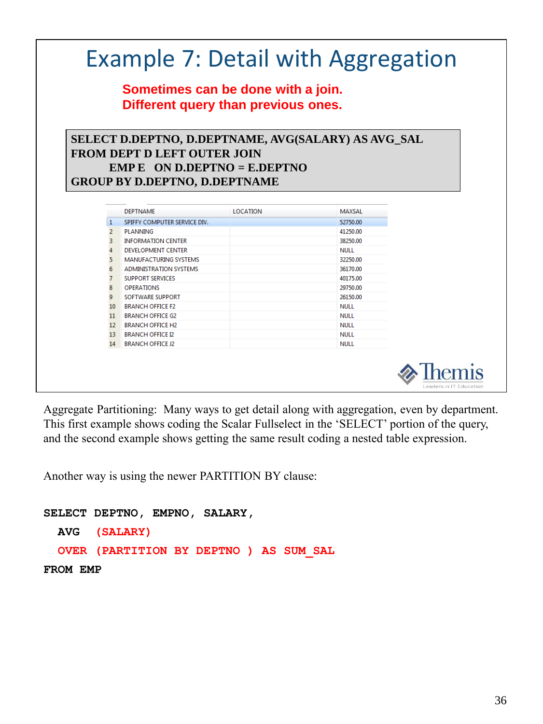|                 | <b>Example 7: Detail with Aggregation</b><br>Sometimes can be done with a join.<br>Different query than previous ones.                                            |                 |                            |  |
|-----------------|-------------------------------------------------------------------------------------------------------------------------------------------------------------------|-----------------|----------------------------|--|
|                 | SELECT D.DEPTNO, D.DEPTNAME, AVG(SALARY) AS AVG_SAL<br><b>FROM DEPT D LEFT OUTER JOIN</b><br>EMP E ON D.DEPTNO = E.DEPTNO<br><b>GROUP BY D.DEPTNO, D.DEPTNAME</b> |                 |                            |  |
|                 | <b>DEPTNAME</b>                                                                                                                                                   | <b>LOCATION</b> | <b>MAXSAL</b>              |  |
| 1               | SPIFFY COMPUTER SERVICE DIV.                                                                                                                                      |                 | 52750.00                   |  |
| $\mathbf{2}$    | PLANNING                                                                                                                                                          |                 | 41250.00                   |  |
| $\overline{3}$  | <b>INFORMATION CENTER</b>                                                                                                                                         |                 | 38250.00                   |  |
| $\overline{4}$  | <b>DEVELOPMENT CENTER</b>                                                                                                                                         |                 | <b>NULL</b>                |  |
| 5               | <b>MANUFACTURING SYSTEMS</b>                                                                                                                                      |                 | 32250.00                   |  |
| 6               | <b>ADMINISTRATION SYSTEMS</b>                                                                                                                                     |                 | 36170.00                   |  |
| $\overline{7}$  | <b>SUPPORT SERVICES</b>                                                                                                                                           |                 | 40175.00                   |  |
| 8               | <b>OPERATIONS</b>                                                                                                                                                 |                 | 29750.00                   |  |
| 9               | SOFTWARE SUPPORT                                                                                                                                                  |                 | 26150.00                   |  |
|                 | <b>BRANCH OFFICE F2</b>                                                                                                                                           |                 | <b>NULL</b>                |  |
| 10 <sup>1</sup> | <b>BRANCH OFFICE G2</b>                                                                                                                                           |                 | <b>NULL</b><br><b>NULL</b> |  |
| 11              | <b>BRANCH OFFICE H2</b><br><b>BRANCH OFFICE I2</b>                                                                                                                |                 | <b>NULL</b>                |  |
| $12-12$         |                                                                                                                                                                   |                 |                            |  |
| 13 <sup>7</sup> |                                                                                                                                                                   |                 | <b>NULL</b>                |  |

Another way is using the newer PARTITION BY clause: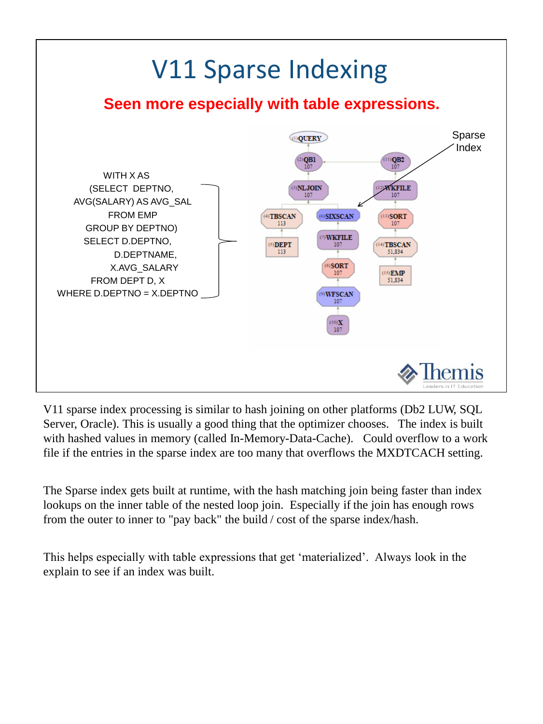

V11 sparse index processing is similar to hash joining on other platforms (Db2 LUW, SQL Server, Oracle). This is usually a good thing that the optimizer chooses. The index is built with hashed values in memory (called In-Memory-Data-Cache). Could overflow to a work file if the entries in the sparse index are too many that overflows the MXDTCACH setting.

The Sparse index gets built at runtime, with the hash matching join being faster than index lookups on the inner table of the nested loop join. Especially if the join has enough rows from the outer to inner to "pay back" the build / cost of the sparse index/hash.

This helps especially with table expressions that get 'materialized'. Always look in the explain to see if an index was built.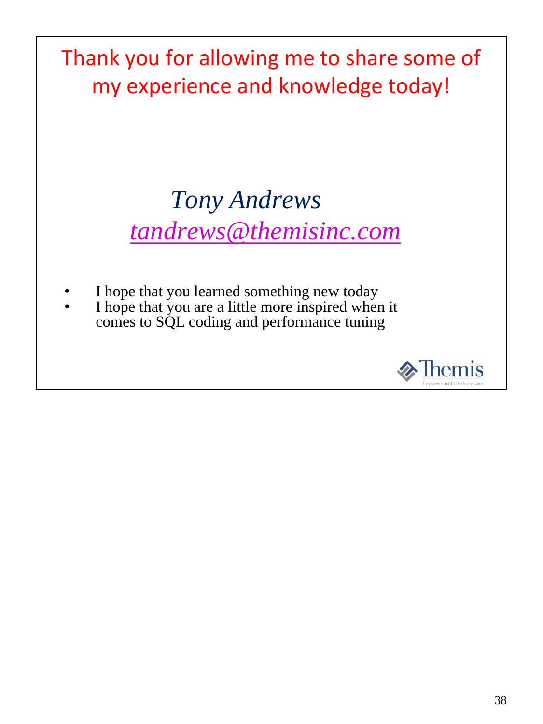Thank you for allowing me to share some of my experience and knowledge today!

#### *Tony Andrews tandrews@themisinc.com*

- I hope that you learned something new today
- I hope that you are a little more inspired when it comes to SQL coding and performance tuning